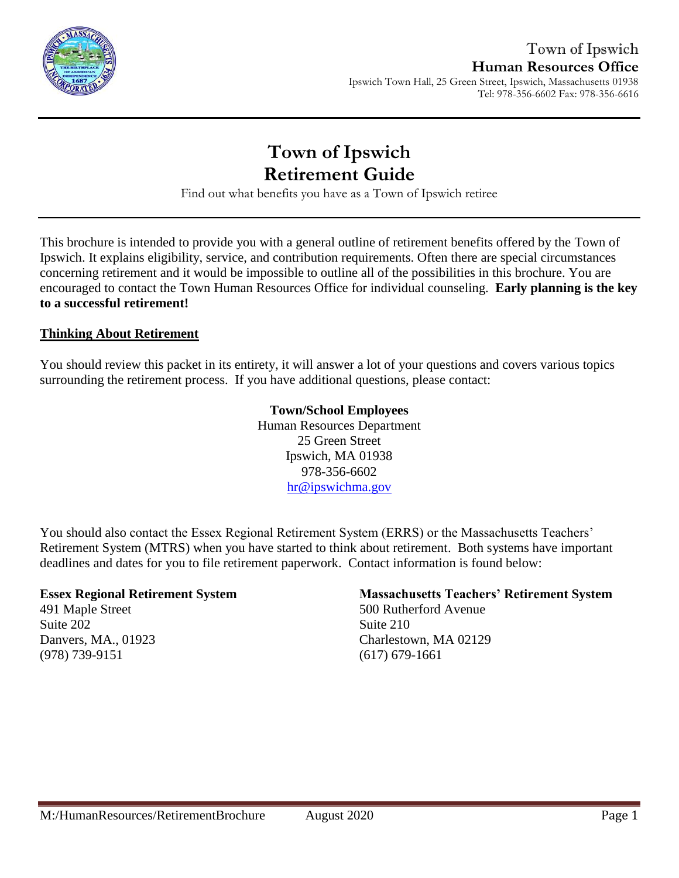

Tel: 978-356-6602 Fax: 978-356-6616

# **Town of Ipswich Retirement Guide**

Find out what benefits you have as a Town of Ipswich retiree

This brochure is intended to provide you with a general outline of retirement benefits offered by the Town of Ipswich. It explains eligibility, service, and contribution requirements. Often there are special circumstances concerning retirement and it would be impossible to outline all of the possibilities in this brochure. You are encouraged to contact the Town Human Resources Office for individual counseling. **Early planning is the key to a successful retirement!**

### **Thinking About Retirement**

You should review this packet in its entirety, it will answer a lot of your questions and covers various topics surrounding the retirement process. If you have additional questions, please contact:

### **Town/School Employees**

Human Resources Department 25 Green Street Ipswich, MA 01938 978-356-6602 [hr@ipswichma.gov](mailto:hr@ipswichma.gov)

You should also contact the Essex Regional Retirement System (ERRS) or the Massachusetts Teachers' Retirement System (MTRS) when you have started to think about retirement. Both systems have important deadlines and dates for you to file retirement paperwork. Contact information is found below:

#### **Essex Regional Retirement System**

491 Maple Street Suite 202 Danvers, MA., 01923 (978) 739-9151

### **Massachusetts Teachers' Retirement System**

500 Rutherford Avenue Suite 210 Charlestown, MA 02129 (617) 679-1661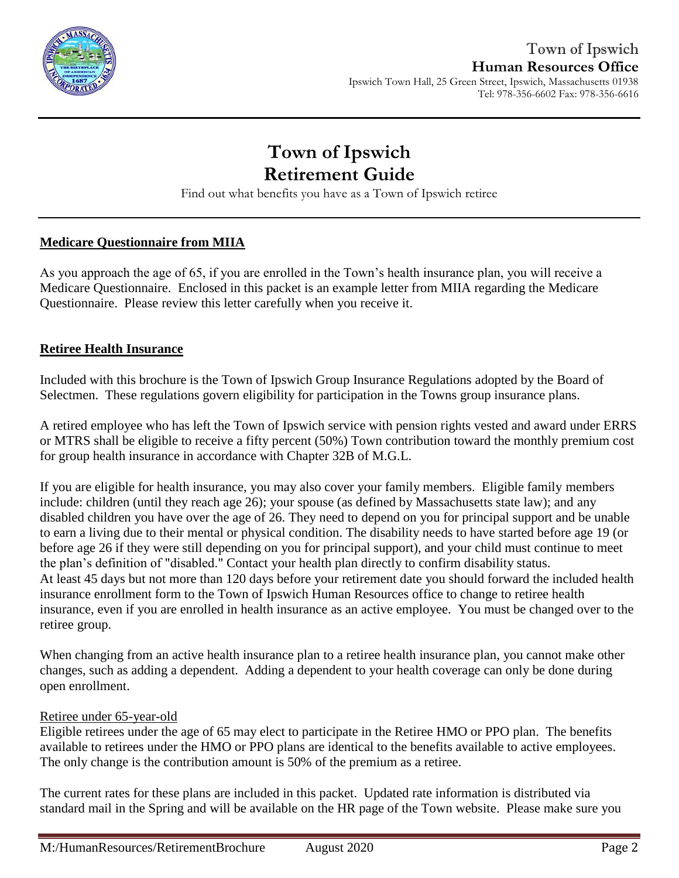

#### Ipswich Town Hall, 25 Green Street, Ipswich, Massachusetts 01938 Tel: 978-356-6602 Fax: 978-356-6616

# **Town of Ipswich Retirement Guide**

Find out what benefits you have as a Town of Ipswich retiree

### **Medicare Questionnaire from MIIA**

As you approach the age of 65, if you are enrolled in the Town's health insurance plan, you will receive a Medicare Questionnaire. Enclosed in this packet is an example letter from MIIA regarding the Medicare Questionnaire. Please review this letter carefully when you receive it.

### **Retiree Health Insurance**

Included with this brochure is the Town of Ipswich Group Insurance Regulations adopted by the Board of Selectmen. These regulations govern eligibility for participation in the Towns group insurance plans.

A retired employee who has left the Town of Ipswich service with pension rights vested and award under ERRS or MTRS shall be eligible to receive a fifty percent (50%) Town contribution toward the monthly premium cost for group health insurance in accordance with Chapter 32B of M.G.L.

If you are eligible for health insurance, you may also cover your family members. Eligible family members include: children (until they reach age 26); your spouse (as defined by Massachusetts state law); and any disabled children you have over the age of 26. They need to depend on you for principal support and be unable to earn a living due to their mental or physical condition. The disability needs to have started before age 19 (or before age 26 if they were still depending on you for principal support), and your child must continue to meet the plan's definition of "disabled." Contact your health plan directly to confirm disability status. At least 45 days but not more than 120 days before your retirement date you should forward the included health insurance enrollment form to the Town of Ipswich Human Resources office to change to retiree health insurance, even if you are enrolled in health insurance as an active employee. You must be changed over to the retiree group.

When changing from an active health insurance plan to a retiree health insurance plan, you cannot make other changes, such as adding a dependent. Adding a dependent to your health coverage can only be done during open enrollment.

### Retiree under 65-year-old

Eligible retirees under the age of 65 may elect to participate in the Retiree HMO or PPO plan. The benefits available to retirees under the HMO or PPO plans are identical to the benefits available to active employees. The only change is the contribution amount is 50% of the premium as a retiree.

The current rates for these plans are included in this packet. Updated rate information is distributed via standard mail in the Spring and will be available on the HR page of the Town website. Please make sure you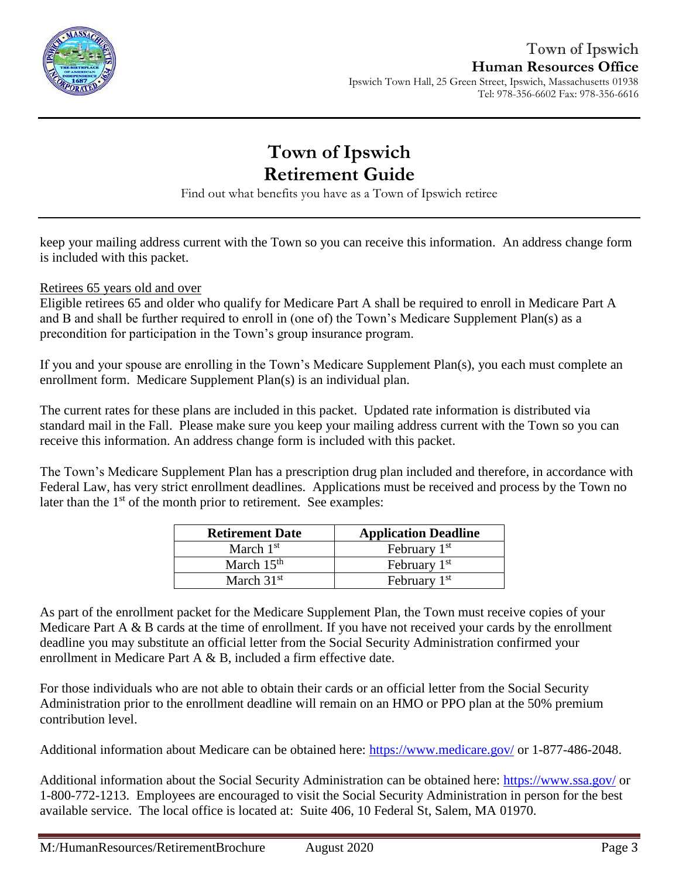

Tel: 978-356-6602 Fax: 978-356-6616

# **Town of Ipswich Retirement Guide**

Find out what benefits you have as a Town of Ipswich retiree

keep your mailing address current with the Town so you can receive this information. An address change form is included with this packet.

Retirees 65 years old and over

Eligible retirees 65 and older who qualify for Medicare Part A shall be required to enroll in Medicare Part A and B and shall be further required to enroll in (one of) the Town's Medicare Supplement Plan(s) as a precondition for participation in the Town's group insurance program.

If you and your spouse are enrolling in the Town's Medicare Supplement Plan(s), you each must complete an enrollment form. Medicare Supplement Plan(s) is an individual plan.

The current rates for these plans are included in this packet. Updated rate information is distributed via standard mail in the Fall. Please make sure you keep your mailing address current with the Town so you can receive this information. An address change form is included with this packet.

The Town's Medicare Supplement Plan has a prescription drug plan included and therefore, in accordance with Federal Law, has very strict enrollment deadlines. Applications must be received and process by the Town no later than the 1<sup>st</sup> of the month prior to retirement. See examples:

| <b>Retirement Date</b> | <b>Application Deadline</b> |
|------------------------|-----------------------------|
| March $1st$            | February 1 <sup>st</sup>    |
| March $15th$           | February $1st$              |
| March $31st$           | February 1 <sup>st</sup>    |

As part of the enrollment packet for the Medicare Supplement Plan, the Town must receive copies of your Medicare Part A & B cards at the time of enrollment. If you have not received your cards by the enrollment deadline you may substitute an official letter from the Social Security Administration confirmed your enrollment in Medicare Part A & B, included a firm effective date.

For those individuals who are not able to obtain their cards or an official letter from the Social Security Administration prior to the enrollment deadline will remain on an HMO or PPO plan at the 50% premium contribution level.

Additional information about Medicare can be obtained here:<https://www.medicare.gov/> or 1-877-486-2048.

Additional information about the Social Security Administration can be obtained here:<https://www.ssa.gov/> or 1-800-772-1213. Employees are encouraged to visit the Social Security Administration in person for the best available service. The local office is located at: Suite 406, 10 Federal St, Salem, MA 01970.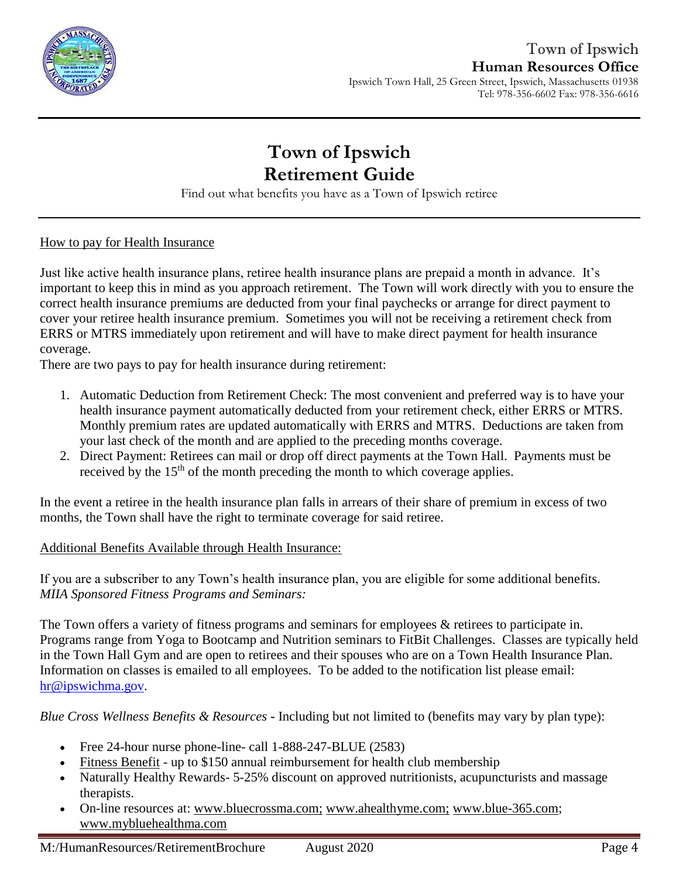

Tel: 978-356-6602 Fax: 978-356-6616

# **Town of Ipswich Retirement Guide**

Find out what benefits you have as a Town of Ipswich retiree

### How to pay for Health Insurance

Just like active health insurance plans, retiree health insurance plans are prepaid a month in advance. It's important to keep this in mind as you approach retirement. The Town will work directly with you to ensure the correct health insurance premiums are deducted from your final paychecks or arrange for direct payment to cover your retiree health insurance premium. Sometimes you will not be receiving a retirement check from ERRS or MTRS immediately upon retirement and will have to make direct payment for health insurance coverage.

There are two pays to pay for health insurance during retirement:

- 1. Automatic Deduction from Retirement Check: The most convenient and preferred way is to have your health insurance payment automatically deducted from your retirement check, either ERRS or MTRS. Monthly premium rates are updated automatically with ERRS and MTRS. Deductions are taken from your last check of the month and are applied to the preceding months coverage.
- 2. Direct Payment: Retirees can mail or drop off direct payments at the Town Hall. Payments must be received by the  $15<sup>th</sup>$  of the month preceding the month to which coverage applies.

In the event a retiree in the health insurance plan falls in arrears of their share of premium in excess of two months, the Town shall have the right to terminate coverage for said retiree.

### Additional Benefits Available through Health Insurance:

If you are a subscriber to any Town's health insurance plan, you are eligible for some additional benefits. *MIIA Sponsored Fitness Programs and Seminars:*

The Town offers a variety of fitness programs and seminars for employees & retirees to participate in. Programs range from Yoga to Bootcamp and Nutrition seminars to FitBit Challenges. Classes are typically held in the Town Hall Gym and are open to retirees and their spouses who are on a Town Health Insurance Plan. Information on classes is emailed to all employees. To be added to the notification list please email: [hr@ipswichma.gov.](mailto:hr@ipswichma.gov)

*Blue Cross Wellness Benefits & Resources* **-** Including but not limited to (benefits may vary by plan type):

- Free 24-hour nurse phone-line- call 1-888-247-BLUE (2583)
- [Fitness Benefit](http://www.emiia.org/images/wellnessflyers/Fitness_Benefit_Form.pdf) up to \$150 annual reimbursement for health club membership
- Naturally Healthy Rewards 5-25% discount on approved nutritionists, acupuncturists and massage therapists.
- On-line resources at: [www.bluecrossma.com](http://www.bluecrossma.com/)[;](http://www.bluecrossma.com;/) [www.ahealthyme.com](http://www.ahealthyme.com/)[;](http://www.emiia.org/) [www.blue-365.com;](https://www.blue-365.com/?planid=bluecrossmacom) [www.mybluehealthma.com](http://www.mybluehealthma.com/)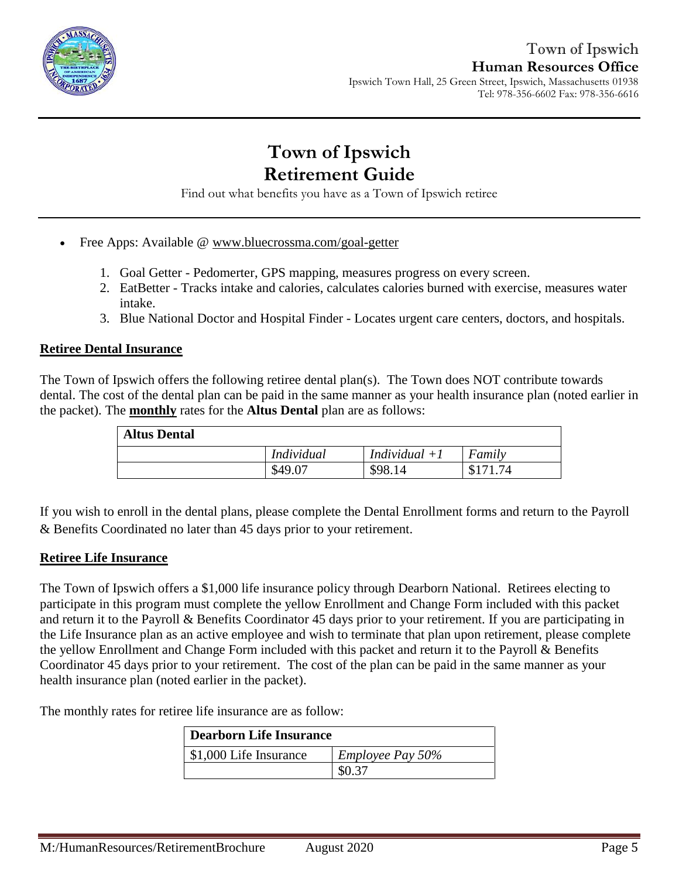

Ipswich Town Hall, 25 Green Street, Ipswich, Massachusetts 01938 Tel: 978-356-6602 Fax: 978-356-6616

# **Town of Ipswich Retirement Guide**

Find out what benefits you have as a Town of Ipswich retiree

- Free Apps: Available @ [www.bluecrossma.com/goal-getter](http://www.bluecrossma.com/goal-getter/)
	- 1. Goal Getter Pedomerter, GPS mapping, measures progress on every screen.
	- 2. EatBetter Tracks intake and calories, calculates calories burned with exercise, measures water intake.
	- 3. Blue National Doctor and Hospital Finder Locates urgent care centers, doctors, and hospitals.

#### **Retiree Dental Insurance**

The Town of Ipswich offers the following retiree dental plan(s). The Town does NOT contribute towards dental. The cost of the dental plan can be paid in the same manner as your health insurance plan (noted earlier in the packet). The **monthly** rates for the **Altus Dental** plan are as follows:

| <b>Altus Dental</b> |                   |                 |        |
|---------------------|-------------------|-----------------|--------|
|                     | <i>Individual</i> | Individual $+1$ | Family |
|                     | \$49.0            | \$98.14         | .74    |

If you wish to enroll in the dental plans, please complete the Dental Enrollment forms and return to the Payroll & Benefits Coordinated no later than 45 days prior to your retirement.

#### **Retiree Life Insurance**

The Town of Ipswich offers a \$1,000 life insurance policy through Dearborn National. Retirees electing to participate in this program must complete the yellow Enrollment and Change Form included with this packet and return it to the Payroll & Benefits Coordinator 45 days prior to your retirement. If you are participating in the Life Insurance plan as an active employee and wish to terminate that plan upon retirement, please complete the yellow Enrollment and Change Form included with this packet and return it to the Payroll & Benefits Coordinator 45 days prior to your retirement. The cost of the plan can be paid in the same manner as your health insurance plan (noted earlier in the packet).

The monthly rates for retiree life insurance are as follow:

| Dearborn Life Insurance |                         |  |
|-------------------------|-------------------------|--|
| \$1,000 Life Insurance  | <i>Employee Pay 50%</i> |  |
|                         | \$0.37                  |  |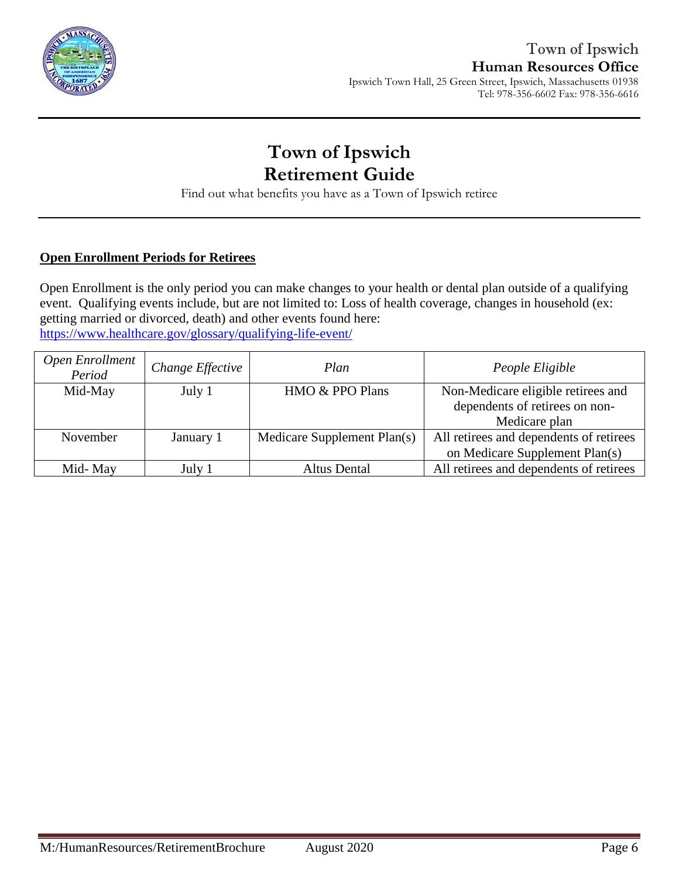

Ipswich Town Hall, 25 Green Street, Ipswich, Massachusetts 01938 Tel: 978-356-6602 Fax: 978-356-6616

# **Town of Ipswich Retirement Guide**

Find out what benefits you have as a Town of Ipswich retiree

### **Open Enrollment Periods for Retirees**

Open Enrollment is the only period you can make changes to your health or dental plan outside of a qualifying event. Qualifying events include, but are not limited to: Loss of health coverage, changes in household (ex: getting married or divorced, death) and other events found here: <https://www.healthcare.gov/glossary/qualifying-life-event/>

| Open Enrollment<br>Period | Change Effective | Plan                        | People Eligible                                                      |
|---------------------------|------------------|-----------------------------|----------------------------------------------------------------------|
| Mid-May                   | July 1           | HMO & PPO Plans             | Non-Medicare eligible retirees and<br>dependents of retirees on non- |
|                           |                  |                             | Medicare plan                                                        |
| November                  | January 1        | Medicare Supplement Plan(s) | All retirees and dependents of retirees                              |
|                           |                  |                             | on Medicare Supplement Plan(s)                                       |
| Mid-May                   | July 1           | <b>Altus Dental</b>         | All retirees and dependents of retirees                              |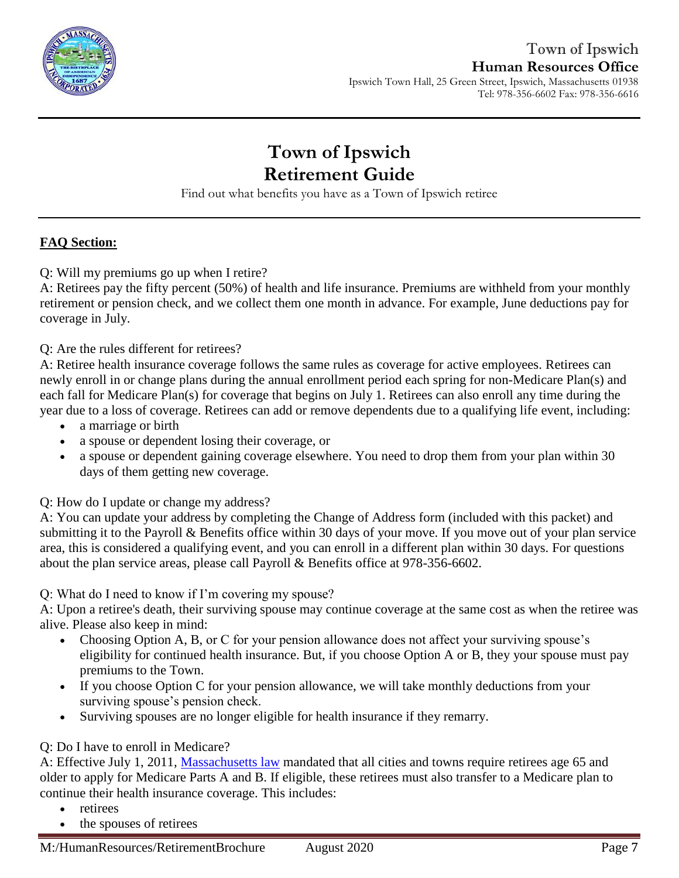

Ipswich Town Hall, 25 Green Street, Ipswich, Massachusetts 01938 Tel: 978-356-6602 Fax: 978-356-6616

# **Town of Ipswich Retirement Guide**

Find out what benefits you have as a Town of Ipswich retiree

### **FAQ Section:**

Q: Will my premiums go up when I retire?

A: Retirees pay the fifty percent (50%) of health and life insurance. Premiums are withheld from your monthly retirement or pension check, and we collect them one month in advance. For example, June deductions pay for coverage in July.

Q: Are the rules different for retirees?

A: Retiree health insurance coverage follows the same rules as coverage for active employees. Retirees can newly enroll in or change plans during the annual enrollment period each spring for non-Medicare Plan(s) and each fall for Medicare Plan(s) for coverage that begins on July 1. Retirees can also enroll any time during the year due to a loss of coverage. Retirees can add or remove dependents due to a qualifying life event, including:

- a marriage or birth
- a spouse or dependent losing their coverage, or
- a spouse or dependent gaining coverage elsewhere. You need to drop them from your plan within 30 days of them getting new coverage.

Q: How do I update or change my address?

A: You can update your address by completing the Change of Address form (included with this packet) and submitting it to the Payroll & Benefits office within 30 days of your move. If you move out of your plan service area, this is considered a qualifying event, and you can enroll in a different plan within 30 days. For questions about the plan service areas, please call Payroll & Benefits office at 978-356-6602.

Q: What do I need to know if I'm covering my spouse?

A: Upon a retiree's death, their surviving spouse may continue coverage at the same cost as when the retiree was alive. Please also keep in mind:

- Choosing Option A, B, or C for your pension allowance does not affect your surviving spouse's eligibility for continued health insurance. But, if you choose Option A or B, they your spouse must pay premiums to the Town.
- If you choose Option C for your pension allowance, we will take monthly deductions from your surviving spouse's pension check.
- Surviving spouses are no longer eligible for health insurance if they remarry.

### Q: Do I have to enroll in Medicare?

A: Effective July 1, 2011, [Massachusetts law](https://malegislature.gov/Laws/SessionLaws/Acts/2011/Chapter69) mandated that all cities and towns require retirees age 65 and older to apply for Medicare Parts A and B. If eligible, these retirees must also transfer to a Medicare plan to continue their health insurance coverage. This includes:

- retirees
- the spouses of retirees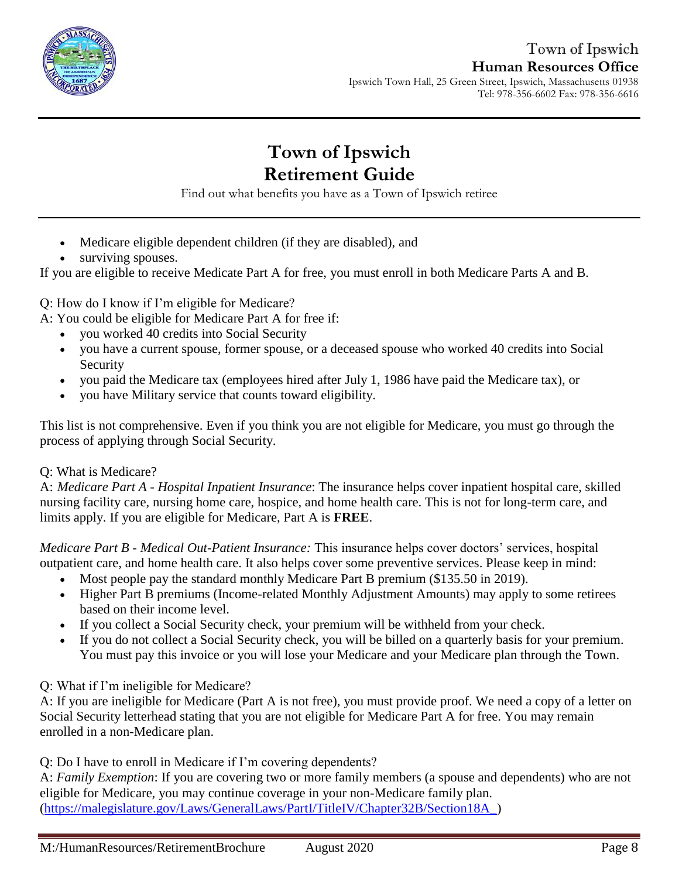

Ipswich Town Hall, 25 Green Street, Ipswich, Massachusetts 01938 Tel: 978-356-6602 Fax: 978-356-6616

# **Town of Ipswich Retirement Guide**

Find out what benefits you have as a Town of Ipswich retiree

- Medicare eligible dependent children (if they are disabled), and
- surviving spouses.

If you are eligible to receive Medicate Part A for free, you must enroll in both Medicare Parts A and B.

Q: How do I know if I'm eligible for Medicare?

A: You could be eligible for Medicare Part A for free if:

- you worked 40 credits into Social Security
- you have a current spouse, former spouse, or a deceased spouse who worked 40 credits into Social Security
- you paid the Medicare tax (employees hired after July 1, 1986 have paid the Medicare tax), or
- you have Military service that counts toward eligibility.

This list is not comprehensive. Even if you think you are not eligible for Medicare, you must go through the process of applying through Social Security.

### Q: What is Medicare?

A: *Medicare Part A - Hospital Inpatient Insurance*: The insurance helps cover inpatient hospital care, skilled nursing facility care, nursing home care, hospice, and home health care. This is not for long-term care, and limits apply. If you are eligible for Medicare, Part A is **FREE**.

*Medicare Part B - Medical Out-Patient Insurance:* This insurance helps cover doctors' services, hospital outpatient care, and home health care. It also helps cover some preventive services. Please keep in mind:

- Most people pay the standard monthly Medicare Part B premium (\$135.50 in 2019).
- Higher Part B premiums (Income-related Monthly Adjustment Amounts) may apply to some retirees based on their income level.
- If you collect a Social Security check, your premium will be withheld from your check.
- If you do not collect a Social Security check, you will be billed on a quarterly basis for your premium. You must pay this invoice or you will lose your Medicare and your Medicare plan through the Town.

### Q: What if I'm ineligible for Medicare?

A: If you are ineligible for Medicare (Part A is not free), you must provide proof. We need a copy of a letter on Social Security letterhead stating that you are not eligible for Medicare Part A for free. You may remain enrolled in a non-Medicare plan.

Q: Do I have to enroll in Medicare if I'm covering dependents?

A: *Family Exemption*: If you are covering two or more family members (a spouse and dependents) who are not eligible for Medicare, you may continue coverage in your non-Medicare family plan. [\(https://malegislature.gov/Laws/GeneralLaws/PartI/TitleIV/Chapter32B/Section18A\\_\)](https://malegislature.gov/Laws/GeneralLaws/PartI/TitleIV/Chapter32B/Section18A_)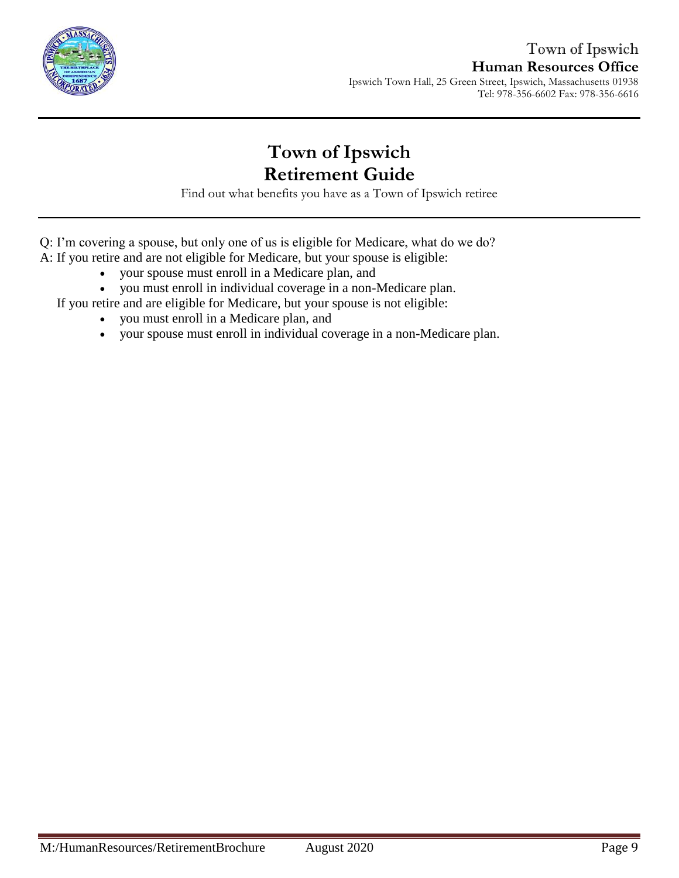

Tel: 978-356-6602 Fax: 978-356-6616

# **Town of Ipswich Retirement Guide**

Find out what benefits you have as a Town of Ipswich retiree

Q: I'm covering a spouse, but only one of us is eligible for Medicare, what do we do? A: If you retire and are not eligible for Medicare, but your spouse is eligible:

- your spouse must enroll in a Medicare plan, and
- you must enroll in individual coverage in a non-Medicare plan.

If you retire and are eligible for Medicare, but your spouse is not eligible:

- you must enroll in a Medicare plan, and
- your spouse must enroll in individual coverage in a non-Medicare plan.